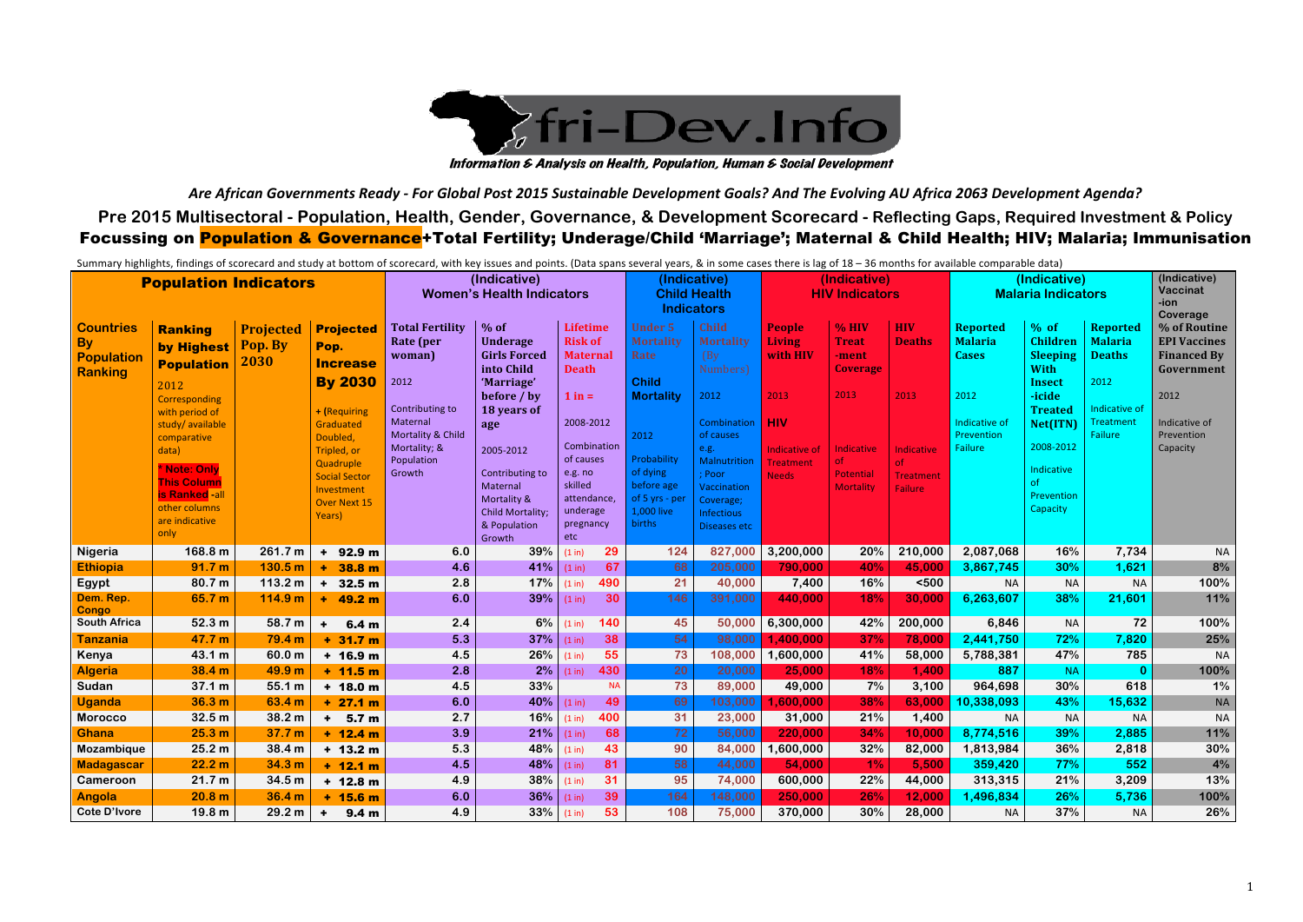*Are African Governments Ready - For Global Post 2015 Sustainable Development Goals? And The Evolving AU Africa 2063 Development Agenda?* **Pre 2015 Multisectoral - Population, Health, Gender, Governance, & Development Scorecard - Reflecting Gaps, Required Investment & Policy** Focussing on <mark>Population & Governance</mark>+Total Fertility; Underage/Child 'Marriage'; Maternal & Child Health; HIV; Malaria; Immunisation

|                     |                                   |                    |                                          |                                  |                             |                    |              |                         |                            | Summary highlights, findings of scorecard and study at bottom of scorecard, with key issues and points. (Data spans several years, & in some cases there is lag of 18 - 36 months for available comparable data) |                               |                   |                           |                          |                     |                         |
|---------------------|-----------------------------------|--------------------|------------------------------------------|----------------------------------|-----------------------------|--------------------|--------------|-------------------------|----------------------------|------------------------------------------------------------------------------------------------------------------------------------------------------------------------------------------------------------------|-------------------------------|-------------------|---------------------------|--------------------------|---------------------|-------------------------|
|                     | <b>Population Indicators</b>      |                    | (Indicative)                             |                                  |                             | (Indicative)       | (Indicative) |                         |                            | (Indicative)                                                                                                                                                                                                     | (Indicative)                  |                   |                           |                          |                     |                         |
|                     |                                   |                    |                                          | <b>Women's Health Indicators</b> |                             |                    |              |                         | <b>Child Health</b>        | <b>HIV Indicators</b>                                                                                                                                                                                            |                               |                   | <b>Malaria Indicators</b> |                          |                     | <b>Vaccinat</b><br>-ion |
|                     |                                   |                    |                                          |                                  |                             |                    |              | <b>Indicators</b>       |                            |                                                                                                                                                                                                                  |                               |                   |                           |                          | Coverage            |                         |
| <b>Countries</b>    | <b>Ranking</b>                    | <b>Projected</b>   | <b>Projected</b>                         | <b>Total Fertility</b>           | $\frac{1}{2}$ % of          | Lifetime           |              | <b>Under 5</b>          | Child                      | <b>People</b>                                                                                                                                                                                                    | $\frac{9}{6}$ HIV             | <b>HIV</b>        | <b>Reported</b>           | $%$ of                   | <b>Reported</b>     | % of Routine            |
| <b>By</b>           | by Highest                        | Pop. By            | Pop.                                     | Rate (per                        | <b>Underage</b>             | <b>Risk of</b>     |              | <b>Mortality</b>        | <b>Mortality</b>           | <b>Living</b>                                                                                                                                                                                                    | <b>Treat</b>                  | <b>Deaths</b>     | <b>Malaria</b>            | <b>Children</b>          | <b>Malaria</b>      | <b>EPI Vaccines</b>     |
| Population          | <b>Population</b>                 | 2030               | <b>Increase</b>                          | woman)                           | <b>Girls Forced</b>         | <b>Maternal</b>    |              | <b>Rate</b>             | (By)                       | with HIV                                                                                                                                                                                                         | -ment                         |                   | <b>Cases</b>              | <b>Sleeping</b>          | <b>Deaths</b>       | <b>Financed By</b>      |
| Ranking             |                                   |                    |                                          |                                  | into Child                  | <b>Death</b>       |              |                         | Numbers)                   |                                                                                                                                                                                                                  | <b>Coverage</b>               |                   |                           | <b>With</b>              |                     | Government              |
|                     | 2012                              |                    | <b>By 2030</b>                           | 2012                             | 'Marriage'                  |                    |              | <b>Child</b>            |                            | 2013                                                                                                                                                                                                             | 2013                          | 2013              | 2012                      | <b>Insect</b>            | 2012                | 2012                    |
|                     | Corresponding                     |                    |                                          | Contributing to                  | before / by<br>18 years of  | $1$ in $=$         |              | <b>Mortality</b>        | 2012                       |                                                                                                                                                                                                                  |                               |                   |                           | -icide<br><b>Treated</b> | Indicative of       |                         |
|                     | with period of<br>study/available |                    | + (Requiring<br>Graduated                | Maternal                         | age                         | 2008-2012          |              |                         | <b>Combination</b>         | <b>HIV</b>                                                                                                                                                                                                       |                               |                   | Indicative of             | Net(ITN)                 | Treatment           | Indicative of           |
|                     | comparative                       |                    | Doubled,                                 | Mortality & Child                |                             |                    |              | 2012                    | of causes                  |                                                                                                                                                                                                                  |                               |                   | Prevention                |                          | <b>Failure</b>      | Prevention              |
|                     | data)                             |                    | Tripled, or                              | Mortality; &                     | 2005-2012                   |                    | Combination  |                         | e.g.                       | Indicative of                                                                                                                                                                                                    | Indicative                    | Indicative        | <b>Failure</b>            | 2008-2012                |                     | Capacity                |
|                     | * Note: Only                      |                    | Quadruple                                | Population                       |                             | of causes          |              | Probability<br>of dying | Malnutrition               | <b>Treatment</b>                                                                                                                                                                                                 | of                            | <sub>of</sub>     |                           | Indicative               |                     |                         |
|                     | <b>This Column</b>                |                    | <b>Social Sector</b>                     | Growth                           | Contributing to<br>Maternal | e.g. no<br>skilled |              | before age              | Poor<br><b>Vaccination</b> | <b>Needs</b>                                                                                                                                                                                                     | Potential<br><b>Mortality</b> | <b>Treatment</b>  |                           | <sub>of</sub>            |                     |                         |
|                     | <b>is Ranked-all</b>              |                    | Investment<br><b>Over Next 15</b>        |                                  | Mortality &                 |                    | attendance,  | of 5 yrs - per          | Coverage;                  |                                                                                                                                                                                                                  |                               | Failure           |                           | Prevention               |                     |                         |
|                     | other columns                     |                    | Years)                                   |                                  | Child Mortality;            | underage           |              | 1,000 live              | Infectious                 |                                                                                                                                                                                                                  |                               |                   |                           | Capacity                 |                     |                         |
|                     | are indicative<br>only            |                    |                                          |                                  | & Population                | pregnancy          |              | births                  | Diseases etc               |                                                                                                                                                                                                                  |                               |                   |                           |                          |                     |                         |
|                     |                                   |                    |                                          |                                  | Growth                      | etc                |              |                         |                            |                                                                                                                                                                                                                  |                               |                   |                           |                          |                     |                         |
| Nigeria             | 168.8 m<br>91.7 m                 | 261.7 m<br>130.5 m | $+92.9 m$                                | 6.0<br>4.6                       | 39%<br>41%                  | (1 in)             | 29<br>67     | 124<br>68               | 827,000<br>205,000         | 3,200,000<br>790,000                                                                                                                                                                                             | 20%<br>40%                    | 210,000<br>45,000 | 2,087,068<br>3,867,745    | 16%<br>30%               | 7,734<br>1,621      | <b>NA</b><br>8%         |
| <b>Ethiopia</b>     | 80.7 m                            | 113.2 m            | 38.8 m<br>$\pm$<br>32.5 <sub>m</sub>     | 2.8                              | 17%                         | (1 in)<br>(1 in)   | 490          | 21                      | 40,000                     | 7,400                                                                                                                                                                                                            | 16%                           | $500$             | <b>NA</b>                 | <b>NA</b>                |                     | 100%                    |
| Egypt<br>Dem. Rep.  | 65.7 m                            | 114.9 m            | $+$                                      | 6.0                              | 39%                         | (1 in)             | 30           | 146                     | 391,000                    | 440,000                                                                                                                                                                                                          | 18%                           | 30,000            | 6,263,607                 | 38%                      | <b>NA</b><br>21,601 | 11%                     |
| <b>Congo</b>        |                                   |                    | $+ 49.2 m$                               |                                  |                             |                    |              |                         |                            |                                                                                                                                                                                                                  |                               |                   |                           |                          |                     |                         |
| <b>South Africa</b> | 52.3 m                            | 58.7 m             | 6.4 <sub>m</sub><br>$\ddot{\phantom{1}}$ | 2.4                              | 6%                          | (1 in)             | 140          | 45                      | 50,000                     | 6,300,000                                                                                                                                                                                                        | 42%                           | 200,000           | 6,846                     | <b>NA</b>                | 72                  | 100%                    |
| Tanzania            | 47.7 m                            | 79.4 m             | $+31.7 m$                                | 5.3                              | 37%                         | (1 in)             | 38           | 54                      | 98,000                     | 1,400,000                                                                                                                                                                                                        | 37%                           | 78,000            | 2,441,750                 | 72%                      | 7,820               | 25%                     |
| Kenya               | 43.1 m                            | 60.0 m             | $+ 16.9 m$                               | 4.5                              | 26%                         | (1 in)             | 55           | 73                      | 108,000                    | 1,600,000                                                                                                                                                                                                        | 41%                           | 58,000            | 5,788,381                 | 47%                      | 785                 | <b>NA</b>               |
| <b>Algeria</b>      | 38.4 m                            | 49.9 m             | $+ 11.5 m$                               | 2.8                              | 2%                          | (1 in)             | 430          | 20                      | 20,000                     | 25,000                                                                                                                                                                                                           | 18%                           | 1,400             | 887                       | <b>NA</b>                | $\bf{0}$            | 100%                    |
| Sudan               | 37.1 m                            | 55.1 m             | $+ 18.0 m$                               | 4.5                              | 33%                         |                    | <b>NA</b>    | 73                      | 89,000                     | 49,000                                                                                                                                                                                                           | 7%                            | 3,100             | 964,698                   | 30%                      | 618                 | 1%                      |
| <b>Uganda</b>       | 36.3 m                            | 63.4 m             | $+27.1 m$                                | 6.0                              | 40%                         | (1 in)             | 49           | 69                      | 103,000                    | 1,600,000                                                                                                                                                                                                        | 38%                           | 63,000            | 10,338,093                | 43%                      | 15,632              | <b>NA</b>               |
| <b>Morocco</b>      | 32.5 <sub>m</sub>                 | 38.2 m             | 5.7 <sub>m</sub><br>$+$                  | 2.7                              | 16%                         | (1 in)             | 400          | 31                      | 23,000                     | 31,000                                                                                                                                                                                                           | 21%                           | 1,400             | <b>NA</b>                 | <b>NA</b>                | <b>NA</b>           | <b>NA</b>               |
| <b>Ghana</b>        | 25.3 m                            | 37.7 <sub>m</sub>  | $+ 12.4 m$                               | 3.9                              | 21%                         | (1 in)             | 68           | 72                      | 56,000                     | 220,000                                                                                                                                                                                                          | 34%                           | 10,000            | 8,774,516                 | 39%                      | 2,885               | 11%                     |
| Mozambique          | 25.2 m                            | 38.4 m             | $+ 13.2 m$                               | 5.3                              | 48%                         | (1 in)             | 43           | 90                      | 84,000                     | 1,600,000                                                                                                                                                                                                        | 32%                           | 82,000            | 1,813,984                 | 36%                      | 2,818               | 30%                     |
| <b>Madagascar</b>   | 22.2 m                            | 34.3 m             | $+ 12.1 m$                               | 4.5                              | 48%                         | (1 in)             | 81           | 58                      | 44,000                     | 54,000                                                                                                                                                                                                           | $1\%$                         | 5,500             | 359,420                   | 77%                      | 552                 | 4%                      |
| Cameroon            | 21.7 m                            | 34.5 m             | $+ 12.8 m$                               | 4.9                              | 38%                         | (1 in)             | 31           | 95                      | 74,000                     | 600,000                                                                                                                                                                                                          | 22%                           | 44,000            | 313,315                   | 21%                      | 3,209               | 13%                     |
| Angola              | 20.8 m                            | 36.4 m             | $+ 15.6 m$                               | 6.0                              | 36%                         | (1 in)             | 39           | 164                     | 148,000                    | 250,000                                                                                                                                                                                                          | 26%                           | 12,000            | 1,496,834                 | 26%                      | 5,736               | 100%                    |
| <b>Cote D'Ivore</b> | 19.8 <sub>m</sub>                 | 29.2 m             | $\ddot{\phantom{1}}$<br>9.4 <sub>m</sub> | 4.9                              | 33%                         | (1 in)             | 53           | 108                     | 75,000                     | 370,000                                                                                                                                                                                                          | 30%                           | 28,000            | <b>NA</b>                 | 37%                      | <b>NA</b>           | 26%                     |



Information & Analysis on Health, Population, Human & Social Development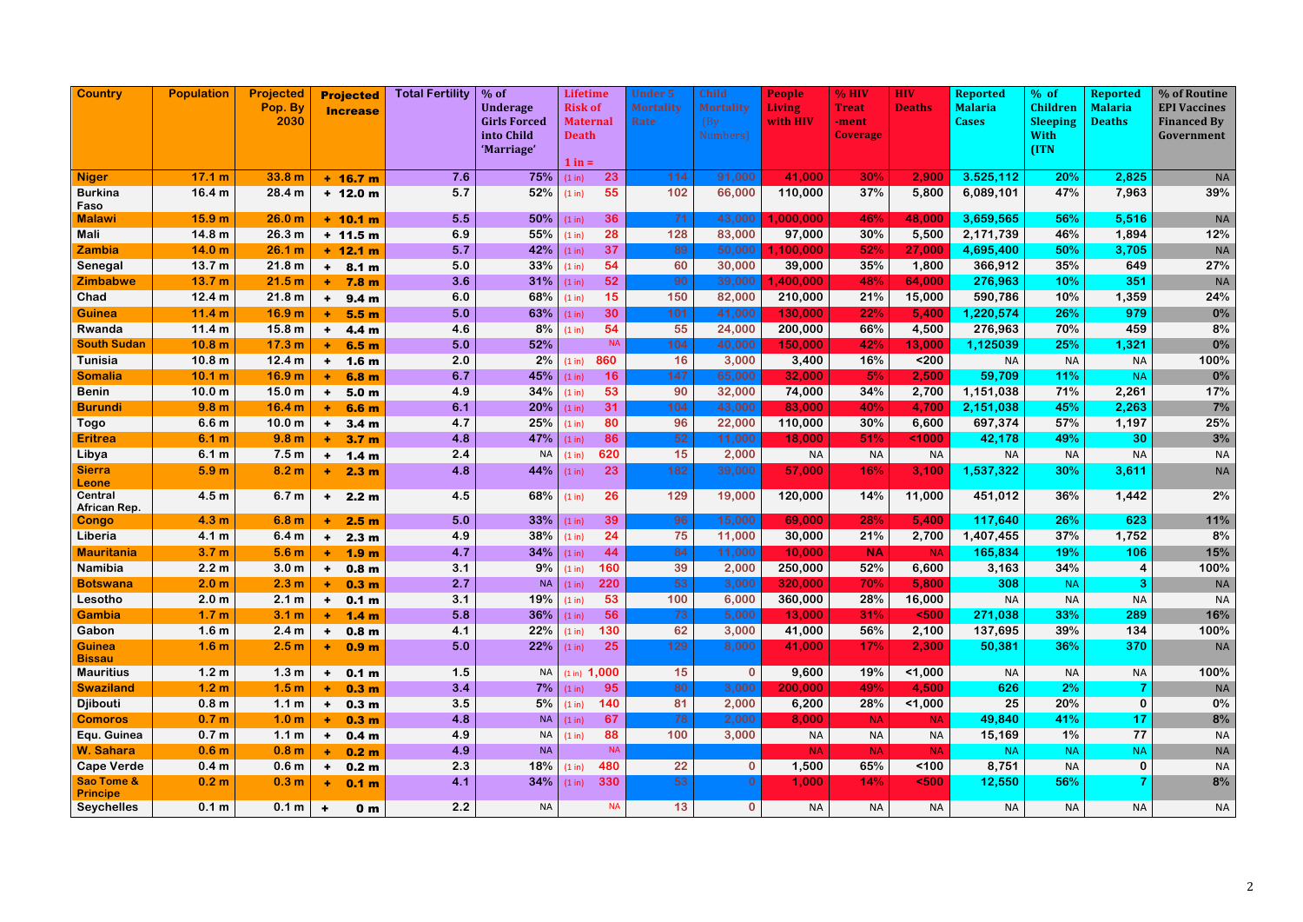| <b>Country</b>                           | <b>Population</b>                      | <b>Projected</b><br>Pop. By<br>2030 |                           | <b>Projected</b><br><b>Increase</b> | <b>Total Fertility</b> | $%$ of<br><b>Underage</b><br><b>Girls Forced</b><br>into Child | <b>Risk of</b><br><b>Death</b> | <b>Lifetime</b><br><b>Maternal</b> | <b>Under 5</b><br><b>Mortality</b><br>Rate | <b>Child</b><br><b>Mortality</b><br>(By)<br>Numbers) | <b>People</b><br><b>Living</b><br>with HIV | % HIV<br><b>Treat</b><br>-ment<br><b>Coverage</b> | <b>HIV</b><br><b>Deaths</b> | <b>Reported</b><br><b>Malaria</b><br><b>Cases</b> | $%$ of<br><b>Children</b><br><b>Sleeping</b><br><b>With</b> | <b>Reported</b><br><b>Malaria</b><br><b>Deaths</b> | % of Routine<br><b>EPI Vaccines</b><br><b>Financed By</b><br>Government |
|------------------------------------------|----------------------------------------|-------------------------------------|---------------------------|-------------------------------------|------------------------|----------------------------------------------------------------|--------------------------------|------------------------------------|--------------------------------------------|------------------------------------------------------|--------------------------------------------|---------------------------------------------------|-----------------------------|---------------------------------------------------|-------------------------------------------------------------|----------------------------------------------------|-------------------------------------------------------------------------|
|                                          |                                        |                                     |                           |                                     |                        | 'Marriage'                                                     | $1$ in $=$                     |                                    |                                            |                                                      |                                            |                                                   |                             |                                                   | (ITN                                                        |                                                    |                                                                         |
| <b>Niger</b>                             | 17.1 m                                 | 33.8 m                              |                           | $+ 16.7 m$                          | 7.6                    | 75%                                                            | (1 in)                         | 23                                 | 114                                        | 91,000                                               | 41,000                                     | 30%                                               | 2,900                       | 3.525,112                                         | 20%                                                         | 2,825                                              | <b>NA</b>                                                               |
| <b>Burkina</b>                           | 16.4 <sub>m</sub>                      | 28.4 m                              |                           | $+ 12.0 m$                          | 5.7                    | 52%                                                            | (1 in)                         | 55                                 | 102                                        | 66,000                                               | 110,000                                    | 37%                                               | 5,800                       | 6,089,101                                         | 47%                                                         | 7,963                                              | 39%                                                                     |
| Faso                                     |                                        |                                     |                           |                                     |                        |                                                                |                                |                                    |                                            |                                                      |                                            |                                                   |                             |                                                   |                                                             |                                                    |                                                                         |
| <b>Malawi</b>                            | 15.9 <sub>m</sub>                      | 26.0 <sub>m</sub>                   |                           | $+ 10.1 m$                          | 5.5                    | 50%                                                            | (1 in)                         | 36                                 | 71                                         | 43,000                                               | 1,000,000                                  | 46%                                               | 48,000                      | 3,659,565                                         | 56%                                                         | 5,516                                              | <b>NA</b>                                                               |
| Mali                                     | 14.8 <sub>m</sub>                      | 26.3 m                              |                           | $+ 11.5 m$                          | 6.9                    | 55%                                                            | (1 in)                         | 28                                 | 128                                        | 83,000                                               | 97,000                                     | 30%                                               | 5,500                       | 2,171,739                                         | 46%                                                         | 1,894                                              | 12%                                                                     |
| <b>Zambia</b>                            | 14.0 <sub>m</sub>                      | 26.1 m                              |                           | $+ 12.1 m$                          | 5.7                    | 42%                                                            | (1 in)                         | 37                                 | 89                                         | 50,000                                               | 1,100,000                                  | 52%                                               | 27,000                      | 4,695,400                                         | 50%                                                         | 3,705                                              | <b>NA</b>                                                               |
| Senegal                                  | 13.7 m                                 | 21.8 m                              | $\ddot{}$                 | 8.1 <sub>m</sub>                    | 5.0                    | 33%                                                            | (1 in)                         | 54                                 | 60                                         | 30,000                                               | 39,000                                     | 35%                                               | 1,800                       | 366,912                                           | 35%                                                         | 649                                                | 27%                                                                     |
| <b>Zimbabwe</b>                          | 13.7 m                                 | 21.5 m                              | ٠                         | 7.8 <sub>m</sub>                    | 3.6                    | 31%                                                            | (1 in)                         | 52                                 | 90                                         | 39,000                                               | 1,400,000                                  | 48%                                               | 64,000                      | 276,963                                           | 10%                                                         | 351                                                | <b>NA</b>                                                               |
| Chad                                     | 12.4 m                                 | 21.8 m                              | ÷                         | 9.4 <sub>m</sub>                    | 6.0                    | 68%                                                            | (1 in)                         | 15                                 | 150                                        | 82,000                                               | 210,000                                    | 21%                                               | 15,000                      | 590,786                                           | 10%                                                         | 1,359                                              | 24%                                                                     |
| <b>Guinea</b>                            | 11.4 m                                 | 16.9 <sub>m</sub>                   | ÷                         | 5.5 <sub>m</sub>                    | 5.0                    | 63%                                                            | (1 in)                         | 30                                 | 101                                        | 41,000                                               | 130,000                                    | 22%                                               | 5,400                       | 1,220,574                                         | 26%                                                         | 979                                                | 0%                                                                      |
| Rwanda<br><b>South Sudan</b>             | 11.4 m                                 | 15.8 <sub>m</sub>                   | $\ddot{\phantom{1}}$      | 4.4 <sub>m</sub>                    | 4.6                    | 8%                                                             | (1 in)                         | 54<br><b>NA</b>                    | 55<br>104                                  | 24,000                                               | 200,000                                    | 66%                                               | 4,500                       | 276,963                                           | 70%                                                         | 459                                                | 8%<br>0%                                                                |
| <b>Tunisia</b>                           | 10.8 <sub>m</sub><br>10.8 <sub>m</sub> | 17.3 <sub>m</sub><br>12.4 m         | ٠                         | 6.5 <sub>m</sub>                    | 5.0<br>2.0             | 52%<br>2%                                                      |                                | 860                                | 16                                         | 40,000<br>3,000                                      | 150,000<br>3,400                           | 42%<br>16%                                        | 13,000<br>$200$             | 1,125039                                          | 25%                                                         | 1,321                                              | 100%                                                                    |
| <b>Somalia</b>                           | 10.1 <sub>m</sub>                      | 16.9 <sub>m</sub>                   | $\ddot{\phantom{1}}$<br>٠ | 1.6 <sub>m</sub>                    | 6.7                    | 45%                                                            | (1 in)                         | 16                                 | 147                                        | 65,000                                               | 32,000                                     | 5%                                                | 2,500                       | <b>NA</b><br>59,709                               | <b>NA</b><br>11%                                            | <b>NA</b><br><b>NA</b>                             | $0\%$                                                                   |
| <b>Benin</b>                             | 10.0 <sub>m</sub>                      | 15.0 <sub>m</sub>                   |                           | 6.8 m                               | 4.9                    | 34%                                                            | (1 in)<br>(1 in)               | 53                                 | 90                                         | 32,000                                               | 74,000                                     | 34%                                               | 2,700                       | 1,151,038                                         | 71%                                                         | 2,261                                              | 17%                                                                     |
| <b>Burundi</b>                           | 9.8 <sub>m</sub>                       | 16.4 <sub>m</sub>                   | $\ddot{\phantom{1}}$<br>٠ | 5.0 <sub>m</sub><br>6.6 m           | 6.1                    | 20%                                                            | (1 in)                         | 31                                 | 104                                        | 43,000                                               | 83,000                                     | 40%                                               | 4,700                       | 2,151,038                                         | 45%                                                         | 2,263                                              | 7%                                                                      |
| <b>Togo</b>                              | 6.6 <sub>m</sub>                       | 10.0 <sub>m</sub>                   | $\ddot{\phantom{1}}$      | 3.4 <sub>m</sub>                    | 4.7                    | 25%                                                            | (1 in)                         | 80                                 | 96                                         | 22,000                                               | 110,000                                    | 30%                                               | 6,600                       | 697,374                                           | 57%                                                         | 1,197                                              | 25%                                                                     |
| <b>Eritrea</b>                           | 6.1 m                                  | 9.8 <sub>m</sub>                    | ÷                         | 3.7 <sub>m</sub>                    | 4.8                    | 47%                                                            | (1 in)                         | 86                                 | 52                                         | 11,000                                               | 18,000                                     | 51%                                               | 1000                        | 42,178                                            | 49%                                                         | 30                                                 | 3%                                                                      |
| Libya                                    | 6.1 m                                  | 7.5 <sub>m</sub>                    | $\ddot{}$                 | 1.4 <sub>m</sub>                    | 2.4                    | <b>NA</b>                                                      | (1 in)                         | 620                                | 15                                         | 2,000                                                | <b>NA</b>                                  | <b>NA</b>                                         | <b>NA</b>                   | <b>NA</b>                                         | <b>NA</b>                                                   | <b>NA</b>                                          | <b>NA</b>                                                               |
| <b>Sierra</b>                            | 5.9 <sub>m</sub>                       | 8.2 <sub>m</sub>                    | ÷                         | 2.3 <sub>m</sub>                    | 4.8                    | 44%                                                            | (1 in)                         | 23                                 | 182                                        | 39,000                                               | 57,000                                     | 16%                                               | 3,100                       | 1,537,322                                         | 30%                                                         | 3,611                                              | <b>NA</b>                                                               |
| <b>Leone</b>                             |                                        |                                     |                           |                                     |                        |                                                                |                                |                                    |                                            |                                                      |                                            |                                                   |                             |                                                   |                                                             |                                                    |                                                                         |
| <b>Central</b><br>African Rep.           | 4.5 <sub>m</sub>                       | 6.7 <sub>m</sub>                    | $\ddot{\phantom{1}}$      | 2.2 <sub>m</sub>                    | 4.5                    | 68%                                                            | (1 in)                         | 26                                 | 129                                        | 19,000                                               | 120,000                                    | 14%                                               | 11,000                      | 451,012                                           | 36%                                                         | 1,442                                              | 2%                                                                      |
| <b>Congo</b>                             | 4.3 <sub>m</sub>                       | 6.8 <sub>m</sub>                    | ٠                         | 2.5 <sub>m</sub>                    | 5.0                    | 33%                                                            | (1 in)                         | 39                                 | 96                                         | 15,000                                               | 69,000                                     | 28%                                               | 5,400                       | 117,640                                           | 26%                                                         | 623                                                | 11%                                                                     |
| Liberia                                  | 4.1 m                                  | 6.4 <sub>m</sub>                    | $\ddot{\phantom{1}}$      | 2.3 <sub>m</sub>                    | 4.9                    | 38%                                                            | (1 in)                         | 24                                 | 75                                         | 11,000                                               | 30,000                                     | 21%                                               | 2,700                       | 1,407,455                                         | 37%                                                         | 1,752                                              | 8%                                                                      |
| <b>Mauritania</b>                        | 3.7 <sub>m</sub>                       | 5.6 <sub>m</sub>                    | ÷                         | 1.9 <sub>m</sub>                    | 4.7                    | 34%                                                            | (1 in)                         | 44                                 | 84                                         | 11,000                                               | 10,000                                     | <b>NA</b>                                         | <b>NA</b>                   | 165,834                                           | 19%                                                         | 106                                                | 15%                                                                     |
| Namibia                                  | 2.2 <sub>m</sub>                       | 3.0 <sub>m</sub>                    | $\ddot{\phantom{1}}$      | 0.8 <sub>m</sub>                    | 3.1                    | 9%                                                             | (1 in)                         | 160                                | 39                                         | 2,000                                                | 250,000                                    | 52%                                               | 6,600                       | 3,163                                             | 34%                                                         | 4                                                  | 100%                                                                    |
| <b>Botswana</b>                          | 2.0 <sub>m</sub>                       | 2.3 <sub>m</sub>                    | ٠                         | 0.3 <sub>m</sub>                    | 2.7                    | NA                                                             | (1 in)                         | 220                                | 53                                         | 3,000                                                | 320,000                                    | 70%                                               | 5,800                       | 308                                               | <b>NA</b>                                                   | 3                                                  | <b>NA</b>                                                               |
| Lesotho                                  | 2.0 <sub>m</sub>                       | 2.1 m                               | ٠                         | 0.1 <sub>m</sub>                    | 3.1                    | 19%                                                            | (1 in)                         | 53                                 | 100                                        | 6,000                                                | 360,000                                    | 28%                                               | 16,000                      | <b>NA</b>                                         | <b>NA</b>                                                   | <b>NA</b>                                          | <b>NA</b>                                                               |
| <b>Gambia</b>                            | 1.7 <sub>m</sub>                       | 3.1 <sub>m</sub>                    | ٠                         | 1.4 <sub>m</sub>                    | 5.8                    | $36\%$                                                         | (1 in)                         | 56                                 | 73                                         | 5,000                                                | 13,000                                     | 31%                                               | $500$                       | 271,038                                           | 33%                                                         | 289                                                | 16%                                                                     |
| Gabon                                    | 1.6 <sub>m</sub>                       | 2.4 <sub>m</sub>                    | ٠                         | 0.8 <sub>m</sub>                    | 4.1                    | 22%                                                            | (1 in)                         | 130                                | 62                                         | 3,000                                                | 41,000                                     | 56%                                               | 2,100                       | 137,695                                           | 39%                                                         | 134                                                | 100%                                                                    |
| <b>Guinea</b><br><b>Bissau</b>           | 1.6 <sub>m</sub>                       | 2.5 <sub>m</sub>                    | ٠                         | 0.9 <sub>m</sub>                    | 5.0                    | 22%                                                            | (1 in)                         | 25                                 | 129                                        | 8,000                                                | 41,000                                     | 17%                                               | 2,300                       | 50,381                                            | 36%                                                         | 370                                                | <b>NA</b>                                                               |
| <b>Mauritius</b>                         | 1.2 <sub>m</sub>                       | 1.3 <sub>m</sub>                    | ٠                         | 0.1 <sub>m</sub>                    | 1.5                    | <b>NA</b>                                                      |                                | $(1 \text{ in})$ 1,000             | 15                                         | $\mathbf{0}$                                         | 9,600                                      | 19%                                               | 1,000                       | <b>NA</b>                                         | <b>NA</b>                                                   | <b>NA</b>                                          | 100%                                                                    |
| <b>Swaziland</b>                         | 1.2 <sub>m</sub>                       | 1.5 <sub>m</sub>                    | ÷                         | 0.3 <sub>m</sub>                    | 3.4                    | 7%                                                             | (1 in)                         | 95                                 | 80                                         | 3,000                                                | 200,000                                    | 49%                                               | 4,500                       | 626                                               | 2%                                                          |                                                    | <b>NA</b>                                                               |
| <b>Djibouti</b>                          | 0.8 <sub>m</sub>                       | 1.1 <sub>m</sub>                    | ٠                         | 0.3 <sub>m</sub>                    | 3.5                    | $5\%$                                                          | (1 in)                         | 140                                | 81                                         | 2,000                                                | 6,200                                      | 28%                                               | 1,000                       | 25                                                | 20%                                                         | $\mathbf 0$                                        | $0\%$                                                                   |
| <b>Comoros</b>                           | 0.7 <sub>m</sub>                       | 1.0 <sub>m</sub>                    |                           | 0.3 <sub>m</sub>                    | 4.8                    |                                                                | $NA$ $(1 in)$                  | 67                                 | 78                                         | 2,000                                                | 8,000                                      | <b>NA</b>                                         | <b>NA</b>                   | 49,840                                            | 41%                                                         | 17                                                 | 8%                                                                      |
| Equ. Guinea                              | 0.7 <sub>m</sub>                       | 1.1 <sub>m</sub>                    | $\ddot{}$                 | 0.4 <sub>m</sub>                    | 4.9                    | NA                                                             | (1 in)                         | 88                                 | 100                                        | 3,000                                                | <b>NA</b>                                  | <b>NA</b>                                         | <b>NA</b>                   | 15,169                                            | 1%                                                          | 77                                                 | <b>NA</b>                                                               |
| W. Sahara                                | 0.6 <sub>m</sub>                       | 0.8 <sub>m</sub>                    |                           | 0.2 <sub>m</sub>                    | 4.9                    | <b>NA</b>                                                      |                                | <b>NA</b>                          |                                            |                                                      | <b>NA</b>                                  | <b>NA</b>                                         | <b>NA</b>                   | <b>NA</b>                                         | <b>NA</b>                                                   | <b>NA</b>                                          | $\sf NA$                                                                |
| <b>Cape Verde</b>                        | 0.4 <sub>m</sub>                       | 0.6 <sub>m</sub>                    | $\ddot{\phantom{1}}$      | 0.2 <sub>m</sub>                    | 2.3                    | 18%                                                            | (1 in)                         | 480                                | 22                                         | $\mathbf{0}$                                         | 1,500                                      | 65%                                               | 100                         | 8,751                                             | <b>NA</b>                                                   | 0                                                  | <b>NA</b>                                                               |
| <b>Sao Tome &amp;</b><br><b>Principe</b> | 0.2 <sub>m</sub>                       | 0.3 <sub>m</sub>                    | ٠.                        | 0.1 <sub>m</sub>                    | 4.1                    | 34%                                                            | (1 in)                         | 330                                | 53                                         | 0                                                    | 1,000                                      | 14%                                               | 500                         | 12,550                                            | 56%                                                         |                                                    | 8%                                                                      |
| <b>Seychelles</b>                        | 0.1 <sub>m</sub>                       | 0.1 m                               | $\ddot{\phantom{1}}$      | 0 <sub>m</sub>                      | 2.2                    | <b>NA</b>                                                      |                                | <b>NA</b>                          | 13                                         | $\mathbf{0}$                                         | $\sf NA$                                   | $\sf NA$                                          | <b>NA</b>                   | <b>NA</b>                                         | <b>NA</b>                                                   | <b>NA</b>                                          | <b>NA</b>                                                               |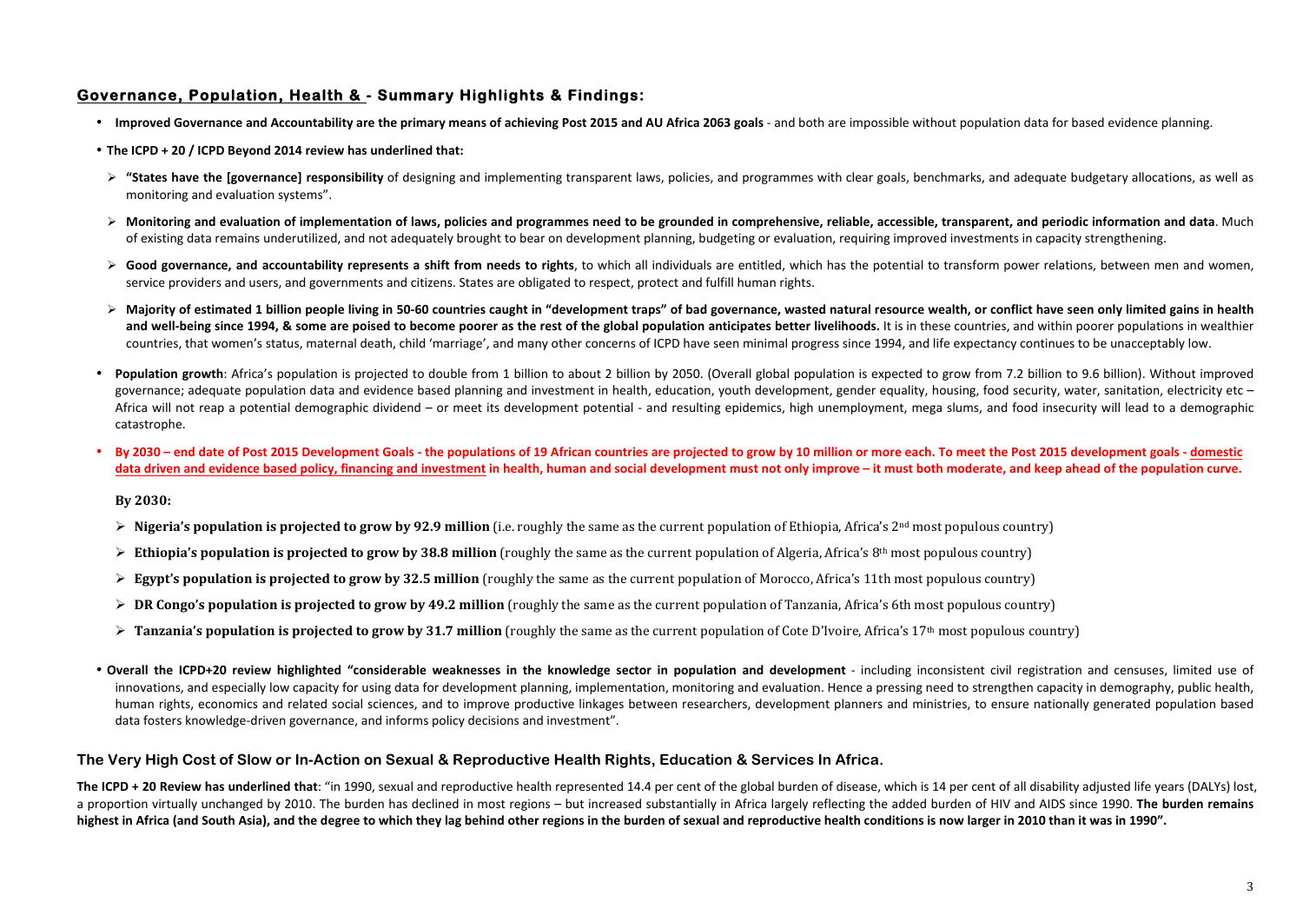## **Governance, Population, Health & - Summary Highlights & Findings:**

- Improved Governance and Accountability are the primary means of achieving Post 2015 and AU Africa 2063 goals and both are impossible without population data for based evidence planning.
- The ICPD + 20 / ICPD Beyond 2014 review has underlined that:
- **►** "States have the [governance] responsibility of designing and implementing transparent laws, policies, and programmes with clear goals, benchmarks, and adequate budgetary allocations, as well as monitoring and evaluation systems".
- $\triangleright$  Monitoring and evaluation of implementation of laws, policies and programmes need to be grounded in comprehensive, reliable, accessible, transparent, and periodic information and data. Much of existing data remains underutilized, and not adequately brought to bear on development planning, budgeting or evaluation, requiring improved investments in capacity strengthening.
- **Example 2** Good governance, and accountability represents a shift from needs to rights, to which all individuals are entitled, which has the potential to transform power relations, between men and women, service providers and users, and governments and citizens. States are obligated to respect, protect and fulfill human rights.
- $\triangleright$  Majority of estimated 1 billion people living in 50-60 countries caught in "development traps" of bad governance, wasted natural resource wealth, or conflict have seen only limited gains in health and well-being since 1994, & some are poised to become poorer as the rest of the global population anticipates better livelihoods. It is in these countries, and within poorer populations in wealthier countries, that women's status, maternal death, child 'marriage', and many other concerns of ICPD have seen minimal progress since 1994, and life expectancy continues to be unacceptably low.
- **Population growth**: Africa's population is projected to double from 1 billion to about 2 billion by 2050. (Overall global population is expected to grow from 7.2 billion to 9.6 billion). Without improved governance; adequate population data and evidence based planning and investment in health, education, youth development, gender equality, housing, food security, water, sanitation, electricity etc – Africa will not reap a potential demographic dividend – or meet its development potential - and resulting epidemics, high unemployment, mega slums, and food insecurity will lead to a demographic catastrophe.
- By 2030 end date of Post 2015 Development Goals the populations of 19 African countries are projected to grow by 10 million or more each. To meet the Post 2015 development goals domestic data driven and evidence based policy, financing and investment in health, human and social development must not only improve – it must both moderate, and keep ahead of the population curve.

**By 2030:**

- $\triangleright$  **Nigeria's population is projected to grow by 92.9 million** (i.e. roughly the same as the current population of Ethiopia. Africa's  $2^{nd}$  most populous country)
- $\triangleright$  **Ethiopia's population is projected to grow by 38.8 million** (roughly the same as the current population of Algeria, Africa's 8<sup>th</sup> most populous country)
- $\triangleright$  **Egypt's population is projected to grow by 32.5 million** (roughly the same as the current population of Morocco, Africa's 11th most populous country)
- $\triangleright$  **DR Congo's population is projected to grow by 49.2 million** (roughly the same as the current population of Tanzania, Africa's 6th most populous country)
- $\triangleright$  **Tanzania's population is projected to grow by 31.7 million** (roughly the same as the current population of Cote D'Ivoire, Africa's 17<sup>th</sup> most populous country)
- Overall the ICPD+20 review highlighted "considerable weaknesses in the knowledge sector in population and development including inconsistent civil registration and censuses, limited use of innovations, and especially low capacity for using data for development planning, implementation, monitoring and evaluation. Hence a pressing need to strengthen capacity in demography, public health, human rights, economics and related social sciences, and to improve productive linkages between researchers, development planners and ministries, to ensure nationally generated population based data fosters knowledge-driven governance, and informs policy decisions and investment".

### **The Very High Cost of Slow or In-Action on Sexual & Reproductive Health Rights, Education & Services In Africa.**

**The ICPD + 20 Review has underlined that:** "in 1990, sexual and reproductive health represented 14.4 per cent of the global burden of disease, which is 14 per cent of all disability adjusted life years (DALYs) lost, a proportion virtually unchanged by 2010. The burden has declined in most regions – but increased substantially in Africa largely reflecting the added burden of HIV and AIDS since 1990. The burden remains highest in Africa (and South Asia), and the degree to which they lag behind other regions in the burden of sexual and reproductive health conditions is now larger in 2010 than it was in 1990".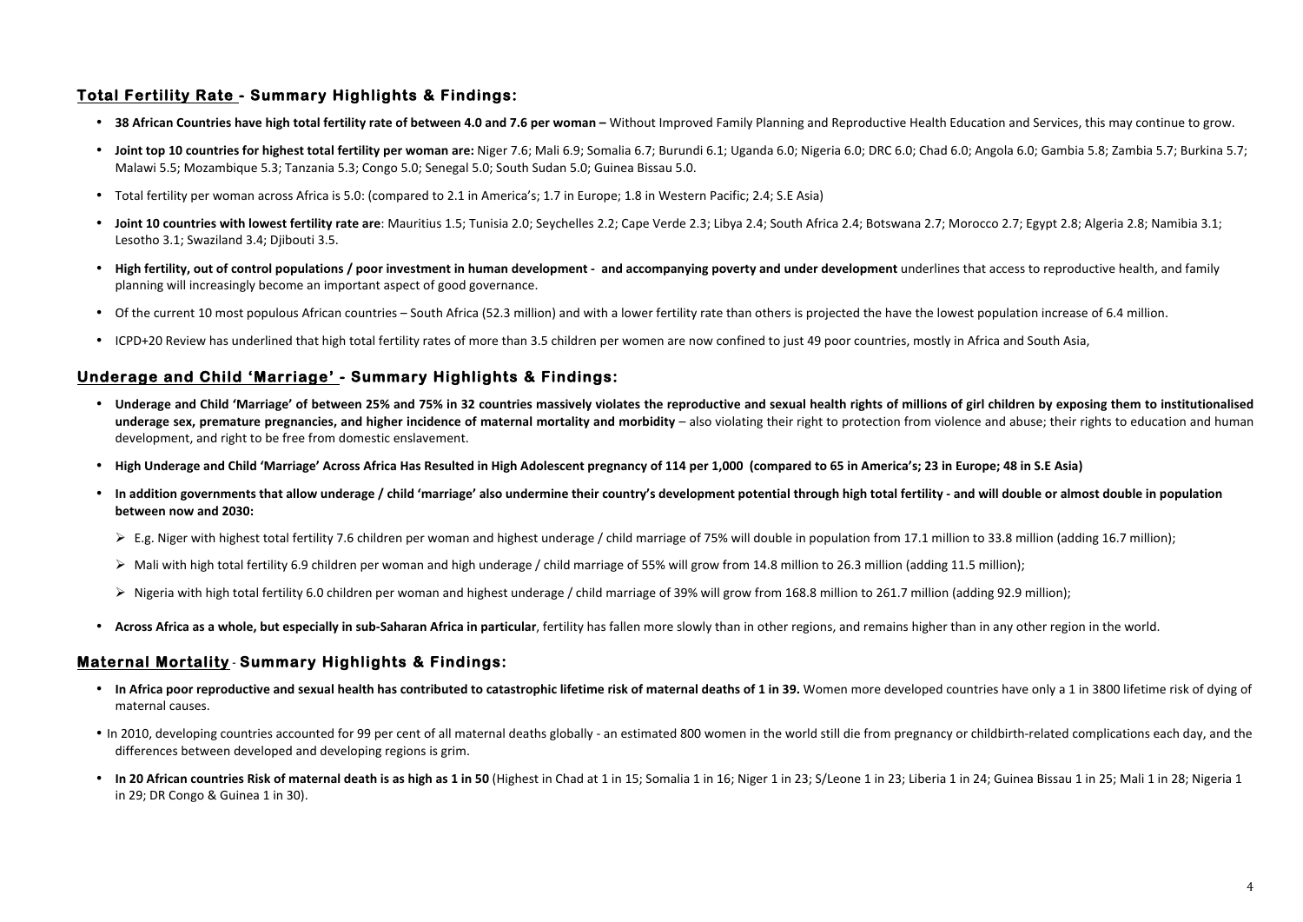# **Total Fertility Rate - Summary Highlights & Findings:**

- **38 African Countries have high total fertility rate of between 4.0 and 7.6 per woman Without Improved Family Planning and Reproductive Health Education and Services, this may continue to grow.**
- **Joint top 10 countries for highest total fertility per woman are:** Niger 7.6; Mali 6.9; Somalia 6.7; Burundi 6.1; Uganda 6.0; Nigeria 6.0; DRC 6.0; Chad 6.0; Angola 6.0; Gambia 5.8; Zambia 5.7; Burkina 5.7; Malawi 5.5; Mozambique 5.3; Tanzania 5.3; Congo 5.0; Senegal 5.0; South Sudan 5.0; Guinea Bissau 5.0.
- Total fertility per woman across Africa is 5.0: (compared to 2.1 in America's; 1.7 in Europe; 1.8 in Western Pacific; 2.4; S.E Asia)
- **Joint 10 countries with lowest fertility rate are**: Mauritius 1.5; Tunisia 2.0; Seychelles 2.2; Cape Verde 2.3; Libya 2.4; South Africa 2.4; Botswana 2.7; Morocco 2.7; Egypt 2.8; Algeria 2.8; Namibia 3.1; Lesotho 3.1; Swaziland 3.4; Djibouti 3.5.
- High fertility, out of control populations / poor investment in human development and accompanying poverty and under development underlines that access to reproductive health, and family planning will increasingly become an important aspect of good governance.
- Of the current 10 most populous African countries South Africa (52.3 million) and with a lower fertility rate than others is projected the have the lowest population increase of 6.4 million.
- ICPD+20 Review has underlined that high total fertility rates of more than 3.5 children per women are now confined to just 49 poor countries, mostly in Africa and South Asia.

## **Underage and Child 'Marriage' - Summary Highlights & Findings:**

- Underage and Child 'Marriage' of between 25% and 75% in 32 countries massively violates the reproductive and sexual health rights of millions of girl children by exposing them to institutionalised underage sex, premature pregnancies, and higher incidence of maternal mortality and morbidity – also violating their right to protection from violence and abuse; their rights to education and human development, and right to be free from domestic enslavement.
- **High Underage and Child 'Marriage' Across Africa Has Resulted in High Adolescent pregnancy of 114 per 1,000 (compared to 65 in America's; 23 in Europe; 48 in S.E Asia)**
- In addition governments that allow underage / child 'marriage' also undermine their country's development potential through high total fertility and will double or almost double in population **between now and 2030:** 
	- $\triangleright$  E.g. Niger with highest total fertility 7.6 children per woman and highest underage / child marriage of 75% will double in population from 17.1 million to 33.8 million (adding 16.7 million);
	- $\triangleright$  Mali with high total fertility 6.9 children per woman and high underage / child marriage of 55% will grow from 14.8 million to 26.3 million (adding 11.5 million);
	- $\triangleright$  Nigeria with high total fertility 6.0 children per woman and highest underage / child marriage of 39% will grow from 168.8 million to 261.7 million (adding 92.9 million);
- Across Africa as a whole, but especially in sub-Saharan Africa in particular, fertility has fallen more slowly than in other regions, and remains higher than in any other region in the world.

### **Maternal Mortality** - **Summary Highlights & Findings:**

- In Africa poor reproductive and sexual health has contributed to catastrophic lifetime risk of maternal deaths of 1 in 39. Women more developed countries have only a 1 in 3800 lifetime risk of dying of maternal causes.
- In 2010, developing countries accounted for 99 per cent of all maternal deaths globally an estimated 800 women in the world still die from pregnancy or childbirth-related complications each day, and the differences between developed and developing regions is grim.
- In 20 African countries Risk of maternal death is as high as 1 in 50 (Highest in Chad at 1 in 15; Somalia 1 in 16; Niger 1 in 23; S/Leone 1 in 23; Liberia 1 in 24; Guinea Bissau 1 in 25; Mali 1 in 28; Nigeria 1 in 29; DR Congo & Guinea 1 in 30).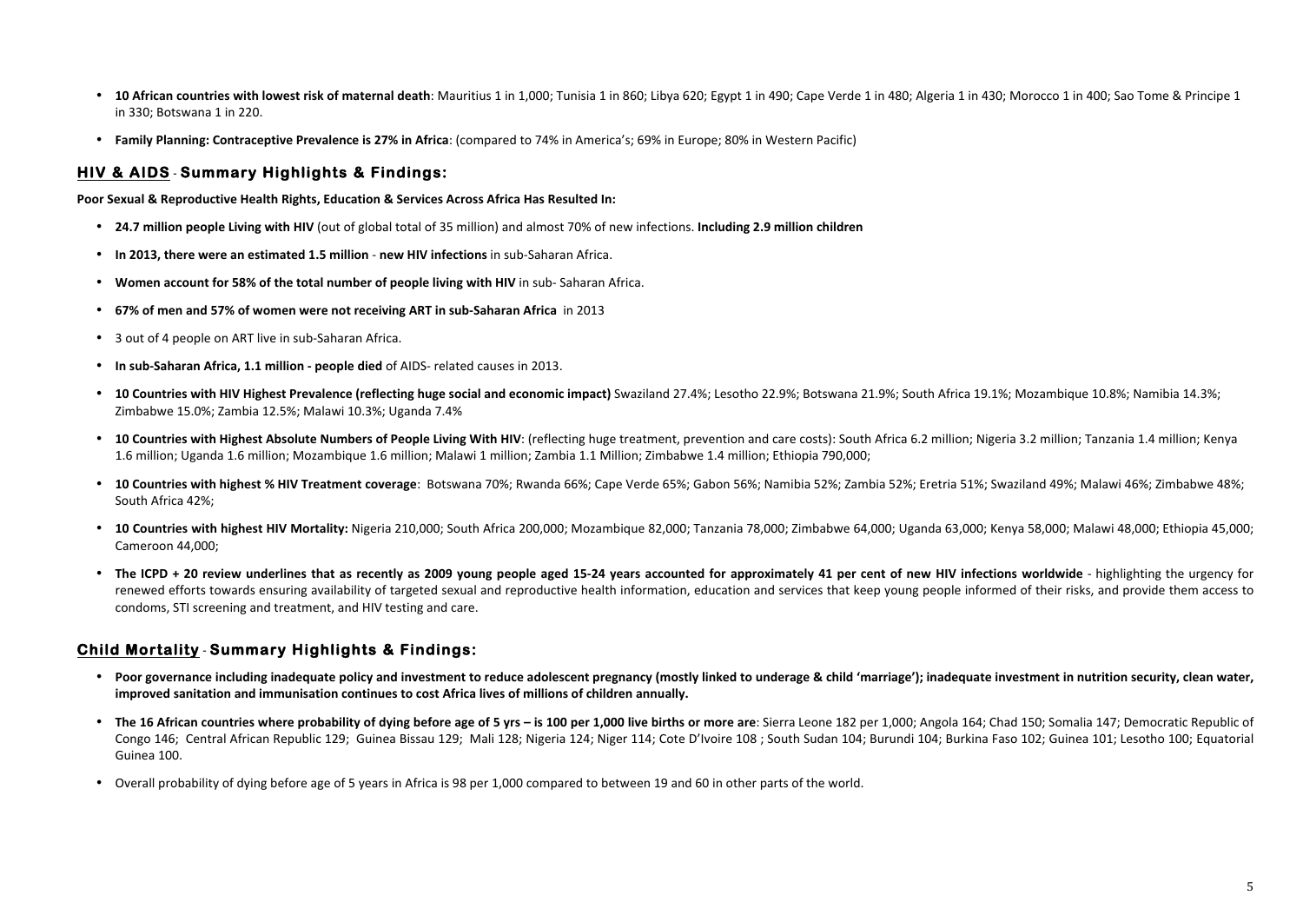- **10 African countries with lowest risk of maternal death**: Mauritius 1 in 1,000; Tunisia 1 in 860; Libya 620; Egypt 1 in 490; Cape Verde 1 in 480; Algeria 1 in 430; Morocco 1 in 400; Sao Tome & Principe 1 in 330; Botswana 1 in 220.
- **Family Planning: Contraceptive Prevalence is 27% in Africa**: (compared to 74% in America's: 69% in Europe: 80% in Western Pacific)

### **HIV & AIDS** - **Summary Highlights & Findings:**

**Poor Sexual & Reproductive Health Rights, Education & Services Across Africa Has Resulted In:**

- 24.7 million people Living with HIV (out of global total of 35 million) and almost 70% of new infections. Including 2.9 million children
- In 2013, there were an estimated 1.5 million new HIV infections in sub-Saharan Africa.
- **Women account for 58% of the total number of people living with HIV** in sub- Saharan Africa.
- **67% of men and 57% of women were not receiving ART in sub-Saharan Africa** in 2013
- 3 out of 4 people on ART live in sub-Saharan Africa.
- In sub-Saharan Africa, 1.1 million people died of AIDS- related causes in 2013.
- **10 Countries with HIV Highest Prevalence (reflecting huge social and economic impact)** Swaziland 27.4%; Lesotho 22.9%; Botswana 21.9%; South Africa 19.1%; Mozambique 10.8%; Namibia 14.3%; Zimbabwe 15.0%; Zambia 12.5%; Malawi 10.3%; Uganda 7.4%
- 10 Countries with Highest Absolute Numbers of People Living With HIV: (reflecting huge treatment, prevention and care costs): South Africa 6.2 million; Nigeria 3.2 million; Tanzania 1.4 million; Kenya 1.6 million; Uganda 1.6 million; Mozambique 1.6 million; Malawi 1 million; Zambia 1.1 Million; Zimbabwe 1.4 million; Ethiopia 790,000;
- 10 Countries with highest % HIV Treatment coverage: Botswana 70%; Rwanda 66%; Cape Verde 65%; Gabon 56%; Namibia 52%; Zambia 52%; Eretria 51%; Swaziland 49%; Malawi 46%; Zimbabwe 48%; South Africa 42%;
- 10 Countries with highest HIV Mortality: Nigeria 210,000; South Africa 200,000; Mozambique 82,000; Tanzania 78,000; Zimbabwe 64,000; Uganda 63,000; Kenya 58,000; Malawi 48,000; Ethiopia 45,000; Cameroon 44,000:
- The ICPD + 20 review underlines that as recently as 2009 young people aged 15-24 years accounted for approximately 41 per cent of new HIV infections worldwide highlighting the urgency for renewed efforts towards ensuring availability of targeted sexual and reproductive health information, education and services that keep young people informed of their risks, and provide them access to condoms, STI screening and treatment, and HIV testing and care.

### **Child Mortality** - **Summary Highlights & Findings:**

- Poor governance including inadequate policy and investment to reduce adolescent pregnancy (mostly linked to underage & child 'marriage'); inadequate investment in nutrition security, clean water, improved sanitation and immunisation continues to cost Africa lives of millions of children annually.
- The 16 African countries where probability of dying before age of 5 yrs is 100 per 1,000 live births or more are: Sierra Leone 182 per 1,000; Angola 164; Chad 150; Somalia 147; Democratic Republic of Congo 146; Central African Republic 129; Guinea Bissau 129; Mali 128; Nigeria 124; Niger 114; Cote D'Ivoire 108 ; South Sudan 104; Burundi 104; Burkina Faso 102; Guinea 101; Lesotho 100; Equatorial Guinea 100.
- Overall probability of dying before age of 5 years in Africa is 98 per 1,000 compared to between 19 and 60 in other parts of the world.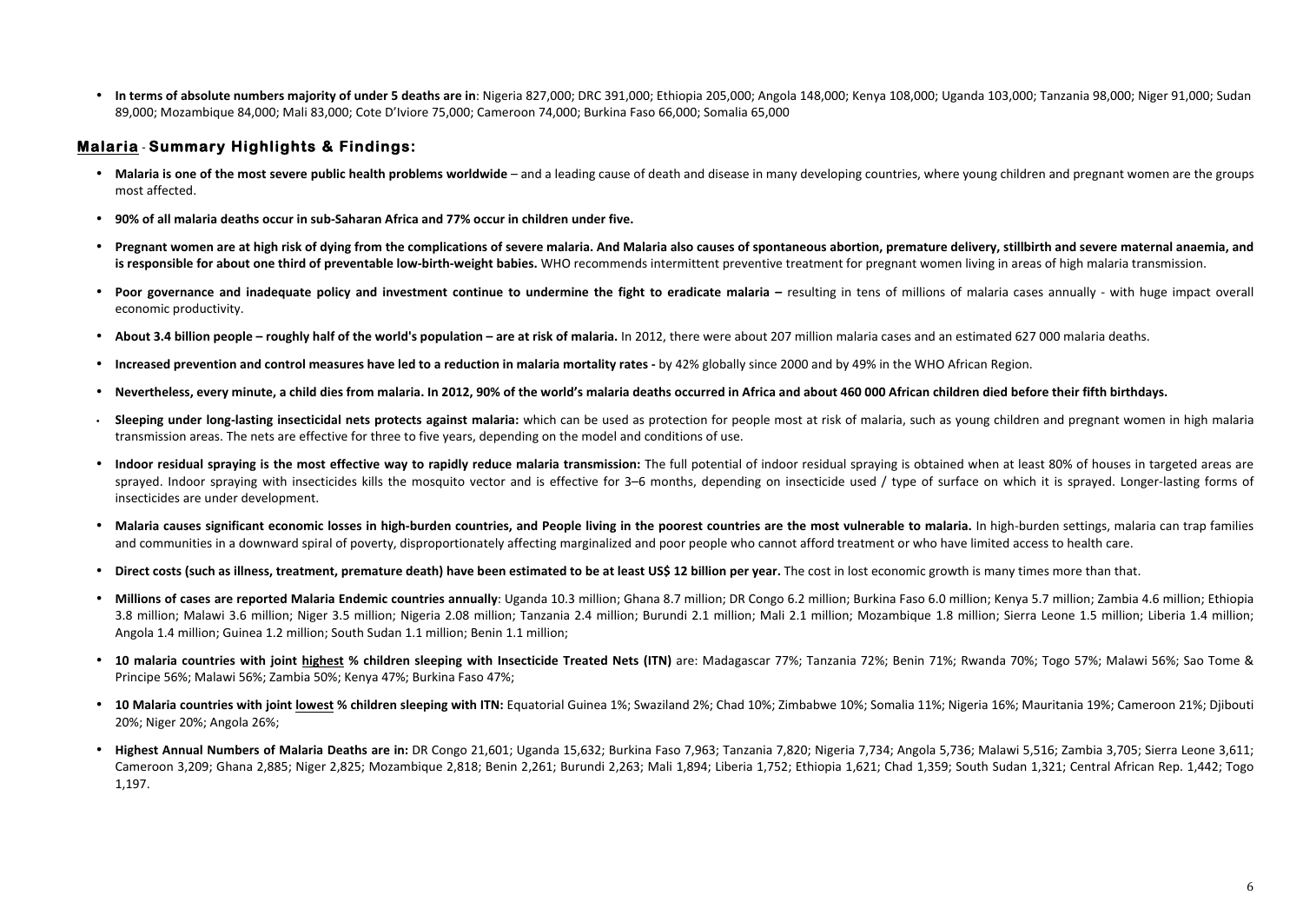**In terms of absolute numbers majority of under 5 deaths are in**: Nigeria 827,000; DRC 391,000; Ethiopia 205,000; Angola 148,000; Kenya 108,000; Uganda 103,000; Tanzania 98,000; Niger 91,000; Sudan 89,000; Mozambique 84,000; Mali 83,000; Cote D'Iviore 75,000; Cameroon 74,000; Burkina Faso 66,000; Somalia 65,000

## **Malaria** - **Summary Highlights & Findings:**

- **Malaria is one of the most severe public health problems worldwide** and a leading cause of death and disease in many developing countries, where young children and pregnant women are the groups most affected.
- **90% of all malaria deaths occur in sub-Saharan Africa and 77% occur in children under five.**
- Pregnant women are at high risk of dying from the complications of severe malaria. And Malaria also causes of spontaneous abortion, premature delivery, stillbirth and severe maternal anaemia, and **is responsible for about one third of preventable low-birth-weight babies.** WHO recommends intermittent preventive treatment for pregnant women living in areas of high malaria transmission.
- Poor governance and inadequate policy and investment continue to undermine the fight to eradicate malaria resulting in tens of millions of malaria cases annually with huge impact overall economic productivity.
- About 3.4 billion people roughly half of the world's population are at risk of malaria. In 2012, there were about 207 million malaria cases and an estimated 627 000 malaria deaths.
- **Increased prevention and control measures have led to a reduction in malaria mortality rates** by 42% globally since 2000 and by 49% in the WHO African Region.
- Nevertheless, every minute, a child dies from malaria. In 2012, 90% of the world's malaria deaths occurred in Africa and about 460 000 African children died before their fifth birthdays.
- **Sleeping under long-lasting insecticidal nets protects against malaria:** which can be used as protection for people most at risk of malaria, such as young children and pregnant women in high malaria transmission areas. The nets are effective for three to five years, depending on the model and conditions of use.
- Indoor residual spraying is the most effective way to rapidly reduce malaria transmission: The full potential of indoor residual spraying is obtained when at least 80% of houses in targeted areas are sprayed. Indoor spraying with insecticides kills the mosquito vector and is effective for 3–6 months, depending on insecticide used / type of surface on which it is sprayed. Longer-lasting forms of insecticides are under development.
- **Malaria causes significant economic losses in high-burden countries, and People living in the poorest countries are the most vulnerable to malaria. In high-burden settings, malaria can trap families** and communities in a downward spiral of poverty, disproportionately affecting marginalized and poor people who cannot afford treatment or who have limited access to health care.
- Direct costs (such as illness, treatment, premature death) have been estimated to be at least US\$ 12 billion per year. The cost in lost economic growth is many times more than that.
- Millions of cases are reported Malaria Endemic countries annually: Uganda 10.3 million: Ghana 8.7 million: DR Congo 6.2 million: Burkina Faso 6.0 million: Kenya 5.7 million: Zambia 4.6 million: Ethiopia 3.8 million; Malawi 3.6 million; Niger 3.5 million; Nigeria 2.08 million; Tanzania 2.4 million; Burundi 2.1 million; Mali 2.1 million; Mozambique 1.8 million; Sierra Leone 1.5 million; Liberia 1.4 million; Angola 1.4 million; Guinea 1.2 million; South Sudan 1.1 million; Benin 1.1 million;
- 10 malaria countries with ioint highest % children sleeping with Insecticide Treated Nets (ITN) are: Madagascar 77%; Tanzania 72%; Benin 71%; Rwanda 70%; Togo 57%; Malawi 56%; Sao Tome & Principe 56%; Malawi 56%; Zambia 50%; Kenya 47%; Burkina Faso 47%;
- 10 Malaria countries with joint lowest % children sleeping with ITN: Equatorial Guinea 1%; Swaziland 2%; Chad 10%; Zimbabwe 10%; Somalia 11%; Nigeria 16%; Mauritania 19%; Cameroon 21%; Djibouti 20%; Niger 20%; Angola 26%;
- Highest Annual Numbers of Malaria Deaths are in: DR Congo 21,601; Uganda 15,632; Burkina Faso 7,963; Tanzania 7,820; Nigeria 7,734; Angola 5,736; Malawi 5,516; Zambia 3,705; Sierra Leone 3,611; Cameroon 3,209; Ghana 2,885; Niger 2,825; Mozambique 2,818; Benin 2,261; Burundi 2,263; Mali 1,894; Liberia 1,752; Ethiopia 1,621; Chad 1,359; South Sudan 1,321; Central African Rep. 1,442; Togo 1,197.